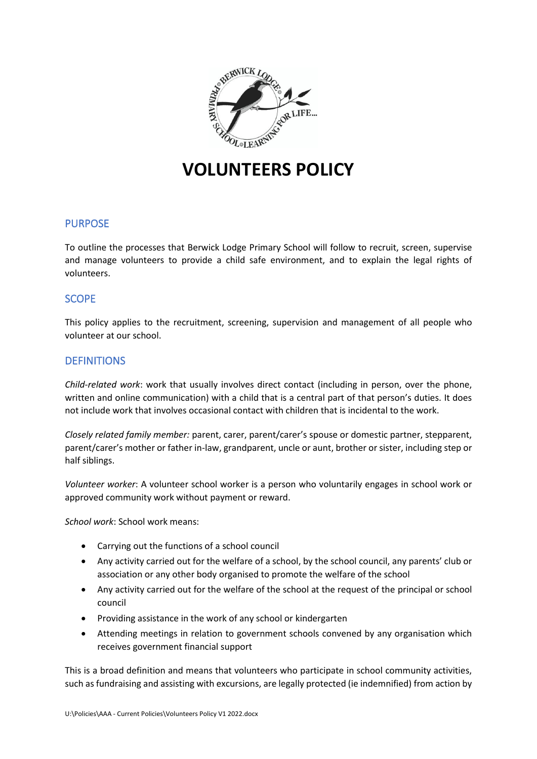

# **VOLUNTEERS POLICY**

# PURPOSE

To outline the processes that Berwick Lodge Primary School will follow to recruit, screen, supervise and manage volunteers to provide a child safe environment, and to explain the legal rights of volunteers.

# **SCOPE**

This policy applies to the recruitment, screening, supervision and management of all people who volunteer at our school.

# **DEFINITIONS**

*Child-related work*: work that usually involves direct contact (including in person, over the phone, written and online communication) with a child that is a central part of that person's duties. It does not include work that involves occasional contact with children that is incidental to the work.

*Closely related family member:* parent, carer, parent/carer's spouse or domestic partner, stepparent, parent/carer's mother or father in-law, grandparent, uncle or aunt, brother or sister, including step or half siblings.

*Volunteer worker*: A volunteer school worker is a person who voluntarily engages in school work or approved community work without payment or reward.

*School work*: School work means:

- Carrying out the functions of a school council
- Any activity carried out for the welfare of a school, by the school council, any parents' club or association or any other body organised to promote the welfare of the school
- Any activity carried out for the welfare of the school at the request of the principal or school council
- Providing assistance in the work of any school or kindergarten
- Attending meetings in relation to government schools convened by any organisation which receives government financial support

This is a broad definition and means that volunteers who participate in school community activities, such as fundraising and assisting with excursions, are legally protected (ie indemnified) from action by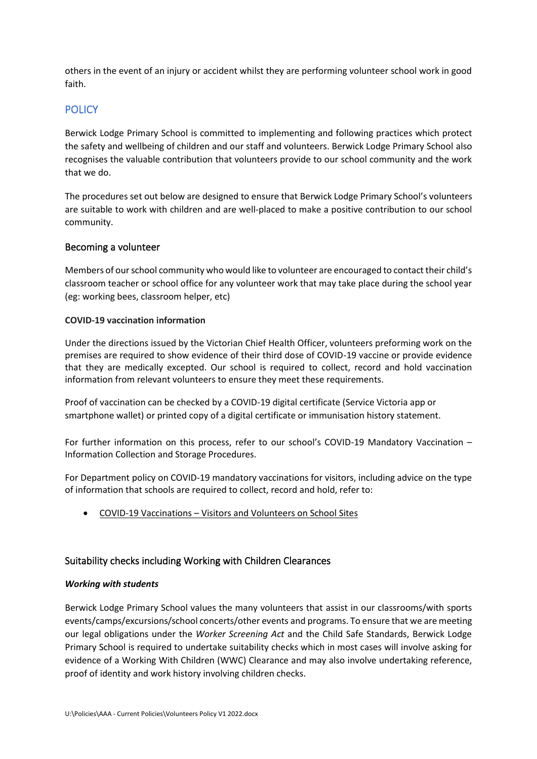others in the event of an injury or accident whilst they are performing volunteer school work in good faith.

# **POLICY**

Berwick Lodge Primary School is committed to implementing and following practices which protect the safety and wellbeing of children and our staff and volunteers. Berwick Lodge Primary School also recognises the valuable contribution that volunteers provide to our school community and the work that we do.

The procedures set out below are designed to ensure that Berwick Lodge Primary School's volunteers are suitable to work with children and are well-placed to make a positive contribution to our school community.

## Becoming a volunteer

Members of our school community who would like to volunteer are encouraged to contact their child's classroom teacher or school office for any volunteer work that may take place during the school year (eg: working bees, classroom helper, etc)

#### **COVID-19 vaccination information**

Under the directions issued by the Victorian Chief Health Officer, volunteers preforming work on the premises are required to show evidence of their third dose of COVID-19 vaccine or provide evidence that they are medically excepted. Our school is required to collect, record and hold vaccination information from relevant volunteers to ensure they meet these requirements.

Proof of vaccination can be checked by a COVID-19 digital certificate (Service Victoria app or smartphone wallet) or printed copy of a digital certificate or immunisation history statement.

For further information on this process, refer to our school's COVID-19 Mandatory Vaccination – Information Collection and Storage Procedures.

For Department policy on COVID-19 mandatory vaccinations for visitors, including advice on the type of information that schools are required to collect, record and hold, refer to:

• COVID-19 Vaccinations – [Visitors and Volunteers on School Sites](https://www2.education.vic.gov.au/pal/covid-19-vaccinations-visitors-volunteers/policy)

## Suitability checks including Working with Children Clearances

#### *Working with students*

Berwick Lodge Primary School values the many volunteers that assist in our classrooms/with sports events/camps/excursions/school concerts/other events and programs. To ensure that we are meeting our legal obligations under the *Worker Screening Act* and the Child Safe Standards, Berwick Lodge Primary School is required to undertake suitability checks which in most cases will involve asking for evidence of a Working With Children (WWC) Clearance and may also involve undertaking reference, proof of identity and work history involving children checks.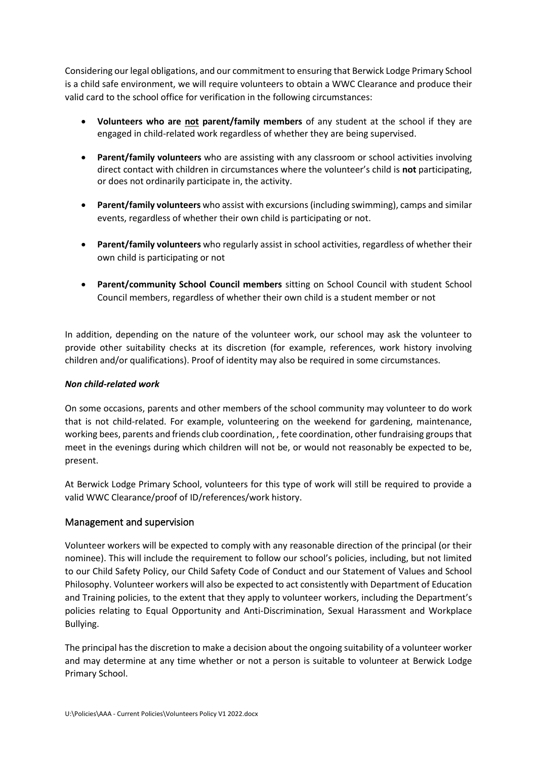Considering our legal obligations, and our commitment to ensuring that Berwick Lodge Primary School is a child safe environment, we will require volunteers to obtain a WWC Clearance and produce their valid card to the school office for verification in the following circumstances:

- **Volunteers who are not parent/family members** of any student at the school if they are engaged in child-related work regardless of whether they are being supervised.
- **Parent/family volunteers** who are assisting with any classroom or school activities involving direct contact with children in circumstances where the volunteer's child is **not** participating, or does not ordinarily participate in, the activity.
- **Parent/family volunteers** who assist with excursions (including swimming), camps and similar events, regardless of whether their own child is participating or not.
- **Parent/family volunteers** who regularly assist in school activities, regardless of whether their own child is participating or not
- **Parent/community School Council members** sitting on School Council with student School Council members, regardless of whether their own child is a student member or not

In addition, depending on the nature of the volunteer work, our school may ask the volunteer to provide other suitability checks at its discretion (for example, references, work history involving children and/or qualifications). Proof of identity may also be required in some circumstances.

#### *Non child-related work*

On some occasions, parents and other members of the school community may volunteer to do work that is not child-related. For example, volunteering on the weekend for gardening, maintenance, working bees, parents and friends club coordination, , fete coordination, other fundraising groups that meet in the evenings during which children will not be, or would not reasonably be expected to be, present.

At Berwick Lodge Primary School, volunteers for this type of work will still be required to provide a valid WWC Clearance/proof of ID/references/work history.

## Management and supervision

Volunteer workers will be expected to comply with any reasonable direction of the principal (or their nominee). This will include the requirement to follow our school's policies, including, but not limited to our Child Safety Policy, our Child Safety Code of Conduct and our Statement of Values and School Philosophy. Volunteer workers will also be expected to act consistently with Department of Education and Training policies, to the extent that they apply to volunteer workers, including the Department's policies relating to Equal Opportunity and Anti-Discrimination, Sexual Harassment and Workplace Bullying.

The principal has the discretion to make a decision about the ongoing suitability of a volunteer worker and may determine at any time whether or not a person is suitable to volunteer at Berwick Lodge Primary School.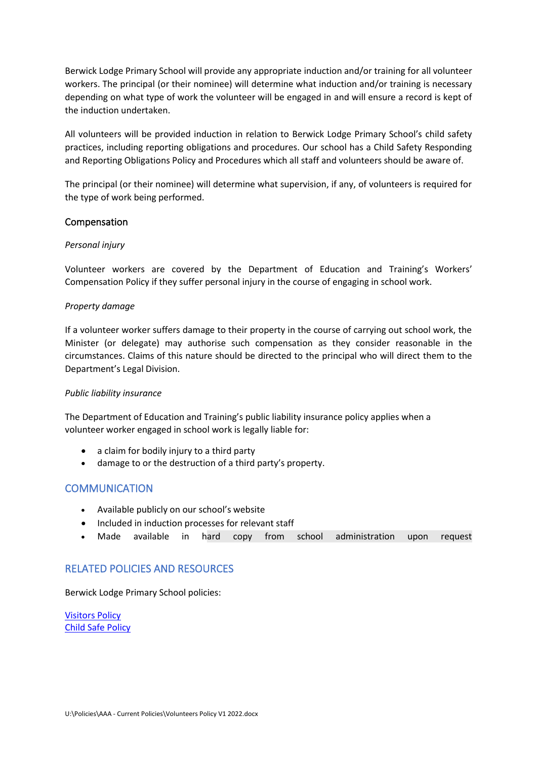Berwick Lodge Primary School will provide any appropriate induction and/or training for all volunteer workers. The principal (or their nominee) will determine what induction and/or training is necessary depending on what type of work the volunteer will be engaged in and will ensure a record is kept of the induction undertaken.

All volunteers will be provided induction in relation to Berwick Lodge Primary School's child safety practices, including reporting obligations and procedures. Our school has a Child Safety Responding and Reporting Obligations Policy and Procedures which all staff and volunteers should be aware of.

The principal (or their nominee) will determine what supervision, if any, of volunteers is required for the type of work being performed.

#### Compensation

#### *Personal injury*

Volunteer workers are covered by the Department of Education and Training's Workers' Compensation Policy if they suffer personal injury in the course of engaging in school work.

#### *Property damage*

If a volunteer worker suffers damage to their property in the course of carrying out school work, the Minister (or delegate) may authorise such compensation as they consider reasonable in the circumstances. Claims of this nature should be directed to the principal who will direct them to the Department's Legal Division.

#### *Public liability insurance*

The Department of Education and Training's public liability insurance policy applies when a volunteer worker engaged in school work is legally liable for:

- a claim for bodily injury to a third party
- damage to or the destruction of a third party's property.

## **COMMUNICATION**

- Available publicly on our school's website
- Included in induction processes for relevant staff
- Made available in hard copy from school administration upon request

## RELATED POLICIES AND RESOURCES

Berwick Lodge Primary School policies:

[Visitors Policy](https://sentral.berwicklodgeps.vic.edu.au/documents/school/#select,118) [Child Safe Policy](https://sentral.berwicklodgeps.vic.edu.au/documents/school/#select,118)